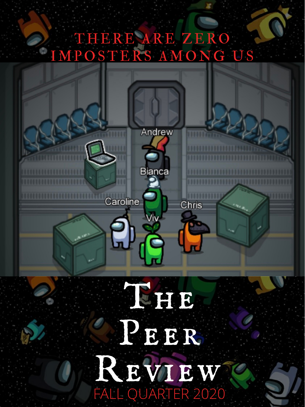#### THERE ARE ZERO IMPOSTERS AMONG US





Chris

Caroline

## The State Peer R REVIEWT

FALL QUARTER 2020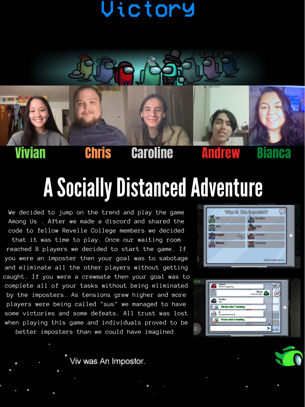### Victory



#### Vivian Chris Caroline Andrew

### **A Socially Distanced Adventure**

We decided to jump on the trend and play the game Among Us . After we made a discord and shared the code to fellow Revelle College members we decided

that it was time to play. Once our waiting room reached 8 players we decided to start the game. If you were an imposter then your goal was to sabotage and eliminate all the other players without getting caught. If you were a crewmate then your goal was to complete all of your tasks without being eliminated by the imposters. As tensions grew higher and more players were being called "sus" we managed to have some victories and some defeats. All trust was lost when playing this game and individuals proved to be better imposters than we could have imagined